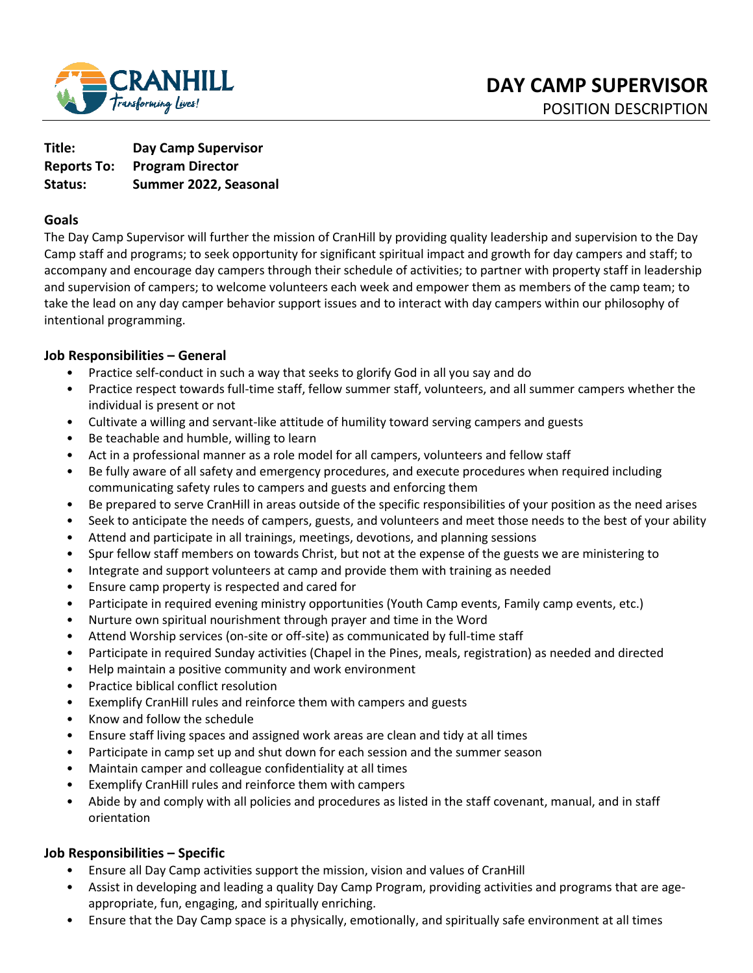

**Title: Day Camp Supervisor Reports To: Program Director Status: Summer 2022, Seasonal** 

### **Goals**

The Day Camp Supervisor will further the mission of CranHill by providing quality leadership and supervision to the Day Camp staff and programs; to seek opportunity for significant spiritual impact and growth for day campers and staff; to accompany and encourage day campers through their schedule of activities; to partner with property staff in leadership and supervision of campers; to welcome volunteers each week and empower them as members of the camp team; to take the lead on any day camper behavior support issues and to interact with day campers within our philosophy of intentional programming.

### **Job Responsibilities – General**

- Practice self-conduct in such a way that seeks to glorify God in all you say and do
- Practice respect towards full-time staff, fellow summer staff, volunteers, and all summer campers whether the individual is present or not
- Cultivate a willing and servant-like attitude of humility toward serving campers and guests
- Be teachable and humble, willing to learn
- Act in a professional manner as a role model for all campers, volunteers and fellow staff
- Be fully aware of all safety and emergency procedures, and execute procedures when required including communicating safety rules to campers and guests and enforcing them
- Be prepared to serve CranHill in areas outside of the specific responsibilities of your position as the need arises
- Seek to anticipate the needs of campers, guests, and volunteers and meet those needs to the best of your ability
- Attend and participate in all trainings, meetings, devotions, and planning sessions
- Spur fellow staff members on towards Christ, but not at the expense of the guests we are ministering to
- Integrate and support volunteers at camp and provide them with training as needed
- Ensure camp property is respected and cared for
- Participate in required evening ministry opportunities (Youth Camp events, Family camp events, etc.)
- Nurture own spiritual nourishment through prayer and time in the Word
- Attend Worship services (on-site or off-site) as communicated by full-time staff
- Participate in required Sunday activities (Chapel in the Pines, meals, registration) as needed and directed
- Help maintain a positive community and work environment
- Practice biblical conflict resolution
- Exemplify CranHill rules and reinforce them with campers and guests
- Know and follow the schedule
- Ensure staff living spaces and assigned work areas are clean and tidy at all times
- Participate in camp set up and shut down for each session and the summer season
- Maintain camper and colleague confidentiality at all times
- Exemplify CranHill rules and reinforce them with campers
- Abide by and comply with all policies and procedures as listed in the staff covenant, manual, and in staff orientation

## **Job Responsibilities – Specific**

- Ensure all Day Camp activities support the mission, vision and values of CranHill
- Assist in developing and leading a quality Day Camp Program, providing activities and programs that are ageappropriate, fun, engaging, and spiritually enriching.
- Ensure that the Day Camp space is a physically, emotionally, and spiritually safe environment at all times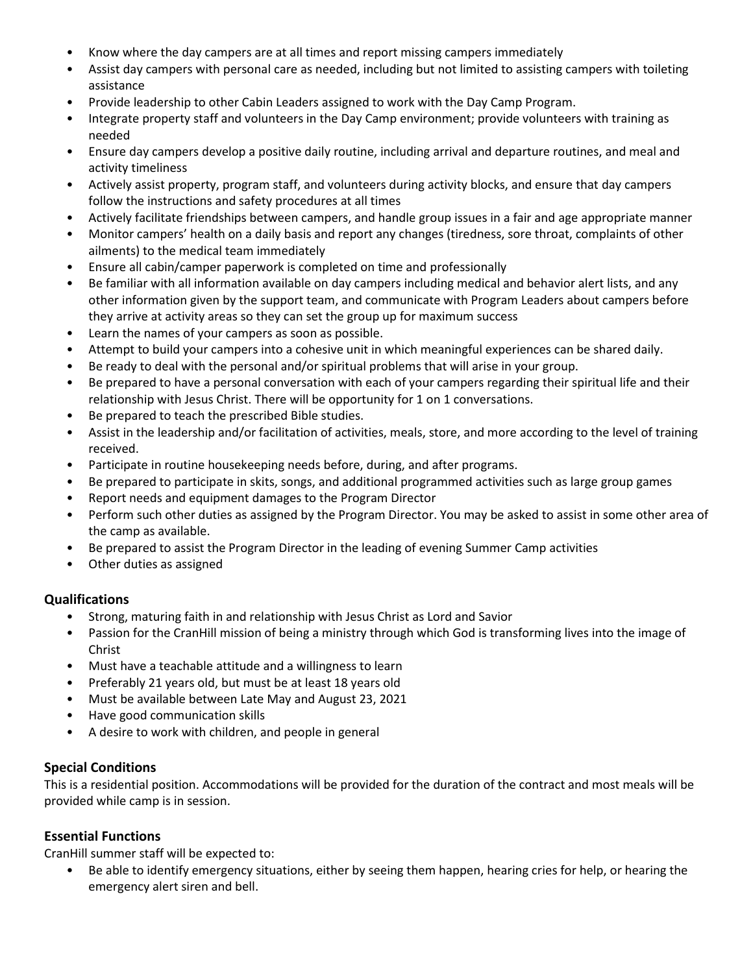- Know where the day campers are at all times and report missing campers immediately
- Assist day campers with personal care as needed, including but not limited to assisting campers with toileting assistance
- Provide leadership to other Cabin Leaders assigned to work with the Day Camp Program.
- Integrate property staff and volunteers in the Day Camp environment; provide volunteers with training as needed
- Ensure day campers develop a positive daily routine, including arrival and departure routines, and meal and activity timeliness
- Actively assist property, program staff, and volunteers during activity blocks, and ensure that day campers follow the instructions and safety procedures at all times
- Actively facilitate friendships between campers, and handle group issues in a fair and age appropriate manner
- Monitor campers' health on a daily basis and report any changes (tiredness, sore throat, complaints of other ailments) to the medical team immediately
- Ensure all cabin/camper paperwork is completed on time and professionally
- Be familiar with all information available on day campers including medical and behavior alert lists, and any other information given by the support team, and communicate with Program Leaders about campers before they arrive at activity areas so they can set the group up for maximum success
- Learn the names of your campers as soon as possible.
- Attempt to build your campers into a cohesive unit in which meaningful experiences can be shared daily.
- Be ready to deal with the personal and/or spiritual problems that will arise in your group.
- Be prepared to have a personal conversation with each of your campers regarding their spiritual life and their relationship with Jesus Christ. There will be opportunity for 1 on 1 conversations.
- Be prepared to teach the prescribed Bible studies.
- Assist in the leadership and/or facilitation of activities, meals, store, and more according to the level of training received.
- Participate in routine housekeeping needs before, during, and after programs.
- Be prepared to participate in skits, songs, and additional programmed activities such as large group games
- Report needs and equipment damages to the Program Director
- Perform such other duties as assigned by the Program Director. You may be asked to assist in some other area of the camp as available.
- Be prepared to assist the Program Director in the leading of evening Summer Camp activities
- Other duties as assigned

#### **Qualifications**

- Strong, maturing faith in and relationship with Jesus Christ as Lord and Savior
- Passion for the CranHill mission of being a ministry through which God is transforming lives into the image of Christ
- Must have a teachable attitude and a willingness to learn
- Preferably 21 years old, but must be at least 18 years old
- Must be available between Late May and August 23, 2021
- Have good communication skills
- A desire to work with children, and people in general

## **Special Conditions**

This is a residential position. Accommodations will be provided for the duration of the contract and most meals will be provided while camp is in session.

#### **Essential Functions**

CranHill summer staff will be expected to:

• Be able to identify emergency situations, either by seeing them happen, hearing cries for help, or hearing the emergency alert siren and bell.